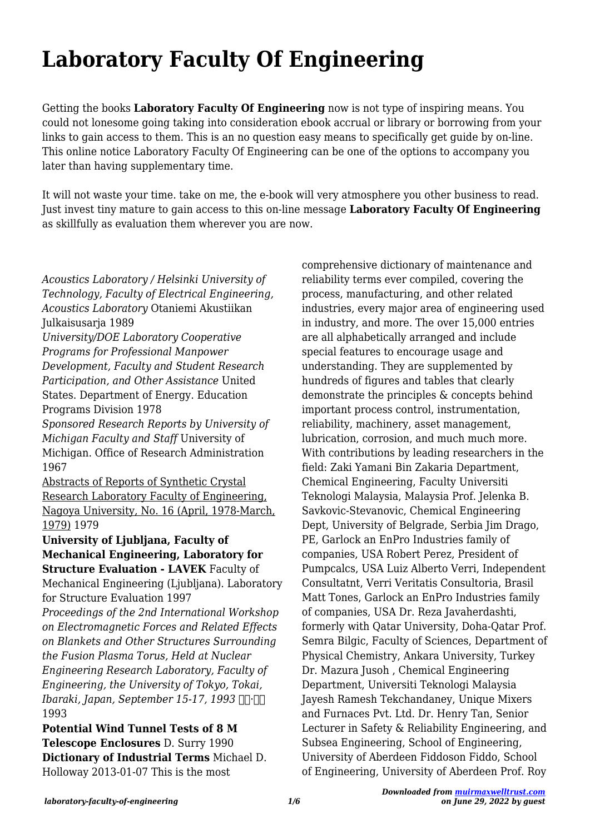# **Laboratory Faculty Of Engineering**

Getting the books **Laboratory Faculty Of Engineering** now is not type of inspiring means. You could not lonesome going taking into consideration ebook accrual or library or borrowing from your links to gain access to them. This is an no question easy means to specifically get guide by on-line. This online notice Laboratory Faculty Of Engineering can be one of the options to accompany you later than having supplementary time.

It will not waste your time. take on me, the e-book will very atmosphere you other business to read. Just invest tiny mature to gain access to this on-line message **Laboratory Faculty Of Engineering** as skillfully as evaluation them wherever you are now.

*Acoustics Laboratory / Helsinki University of Technology, Faculty of Electrical Engineering, Acoustics Laboratory* Otaniemi Akustiikan Julkaisusarja 1989 *University/DOE Laboratory Cooperative Programs for Professional Manpower Development, Faculty and Student Research Participation, and Other Assistance* United States. Department of Energy. Education Programs Division 1978 *Sponsored Research Reports by University of Michigan Faculty and Staff* University of Michigan. Office of Research Administration 1967 Abstracts of Reports of Synthetic Crystal Research Laboratory Faculty of Engineering, Nagoya University, No. 16 (April, 1978-March, 1979) 1979 **University of Ljubljana, Faculty of Mechanical Engineering, Laboratory for Structure Evaluation - LAVEK** Faculty of Mechanical Engineering (Ljubljana). Laboratory for Structure Evaluation 1997 *Proceedings of the 2nd International Workshop on Electromagnetic Forces and Related Effects on Blankets and Other Structures Surrounding the Fusion Plasma Torus, Held at Nuclear Engineering Research Laboratory, Faculty of Engineering, the University of Tokyo, Tokai,* **Ibaraki, Japan, September 15-17, 1993** NH·NH 1993 **Potential Wind Tunnel Tests of 8 M**

**Telescope Enclosures** D. Surry 1990 **Dictionary of Industrial Terms** Michael D. Holloway 2013-01-07 This is the most

comprehensive dictionary of maintenance and reliability terms ever compiled, covering the process, manufacturing, and other related industries, every major area of engineering used in industry, and more. The over 15,000 entries are all alphabetically arranged and include special features to encourage usage and understanding. They are supplemented by hundreds of figures and tables that clearly demonstrate the principles & concepts behind important process control, instrumentation, reliability, machinery, asset management, lubrication, corrosion, and much much more. With contributions by leading researchers in the field: Zaki Yamani Bin Zakaria Department, Chemical Engineering, Faculty Universiti Teknologi Malaysia, Malaysia Prof. Jelenka B. Savkovic-Stevanovic, Chemical Engineering Dept, University of Belgrade, Serbia Jim Drago, PE, Garlock an EnPro Industries family of companies, USA Robert Perez, President of Pumpcalcs, USA Luiz Alberto Verri, Independent Consultatnt, Verri Veritatis Consultoria, Brasil Matt Tones, Garlock an EnPro Industries family of companies, USA Dr. Reza Javaherdashti, formerly with Qatar University, Doha-Qatar Prof. Semra Bilgic, Faculty of Sciences, Department of Physical Chemistry, Ankara University, Turkey Dr. Mazura Jusoh , Chemical Engineering Department, Universiti Teknologi Malaysia Jayesh Ramesh Tekchandaney, Unique Mixers and Furnaces Pvt. Ltd. Dr. Henry Tan, Senior Lecturer in Safety & Reliability Engineering, and Subsea Engineering, School of Engineering, University of Aberdeen Fiddoson Fiddo, School of Engineering, University of Aberdeen Prof. Roy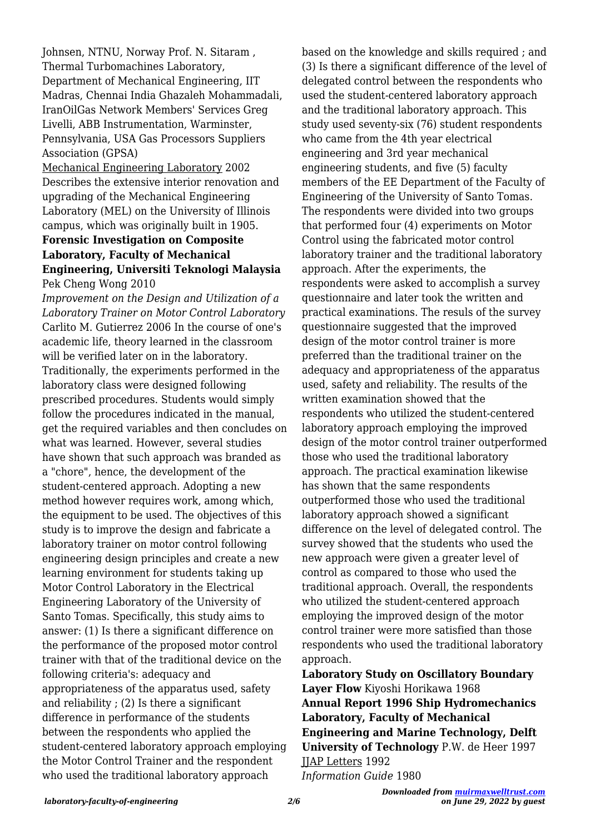Johnsen, NTNU, Norway Prof. N. Sitaram , Thermal Turbomachines Laboratory, Department of Mechanical Engineering, IIT Madras, Chennai India Ghazaleh Mohammadali, IranOilGas Network Members' Services Greg Livelli, ABB Instrumentation, Warminster, Pennsylvania, USA Gas Processors Suppliers Association (GPSA)

Mechanical Engineering Laboratory 2002 Describes the extensive interior renovation and upgrading of the Mechanical Engineering Laboratory (MEL) on the University of Illinois campus, which was originally built in 1905.

## **Forensic Investigation on Composite Laboratory, Faculty of Mechanical Engineering, Universiti Teknologi Malaysia** Pek Cheng Wong 2010

*Improvement on the Design and Utilization of a Laboratory Trainer on Motor Control Laboratory* Carlito M. Gutierrez 2006 In the course of one's academic life, theory learned in the classroom will be verified later on in the laboratory. Traditionally, the experiments performed in the laboratory class were designed following prescribed procedures. Students would simply follow the procedures indicated in the manual, get the required variables and then concludes on what was learned. However, several studies have shown that such approach was branded as a "chore", hence, the development of the student-centered approach. Adopting a new method however requires work, among which, the equipment to be used. The objectives of this study is to improve the design and fabricate a laboratory trainer on motor control following engineering design principles and create a new learning environment for students taking up Motor Control Laboratory in the Electrical Engineering Laboratory of the University of Santo Tomas. Specifically, this study aims to answer: (1) Is there a significant difference on the performance of the proposed motor control trainer with that of the traditional device on the following criteria's: adequacy and appropriateness of the apparatus used, safety and reliability ; (2) Is there a significant difference in performance of the students between the respondents who applied the student-centered laboratory approach employing the Motor Control Trainer and the respondent who used the traditional laboratory approach

based on the knowledge and skills required ; and (3) Is there a significant difference of the level of delegated control between the respondents who used the student-centered laboratory approach and the traditional laboratory approach. This study used seventy-six (76) student respondents who came from the 4th year electrical engineering and 3rd year mechanical engineering students, and five (5) faculty members of the EE Department of the Faculty of Engineering of the University of Santo Tomas. The respondents were divided into two groups that performed four (4) experiments on Motor Control using the fabricated motor control laboratory trainer and the traditional laboratory approach. After the experiments, the respondents were asked to accomplish a survey questionnaire and later took the written and practical examinations. The resuls of the survey questionnaire suggested that the improved design of the motor control trainer is more preferred than the traditional trainer on the adequacy and appropriateness of the apparatus used, safety and reliability. The results of the written examination showed that the respondents who utilized the student-centered laboratory approach employing the improved design of the motor control trainer outperformed those who used the traditional laboratory approach. The practical examination likewise has shown that the same respondents outperformed those who used the traditional laboratory approach showed a significant difference on the level of delegated control. The survey showed that the students who used the new approach were given a greater level of control as compared to those who used the traditional approach. Overall, the respondents who utilized the student-centered approach employing the improved design of the motor control trainer were more satisfied than those respondents who used the traditional laboratory approach.

**Laboratory Study on Oscillatory Boundary Layer Flow** Kiyoshi Horikawa 1968 **Annual Report 1996 Ship Hydromechanics Laboratory, Faculty of Mechanical Engineering and Marine Technology, Delft University of Technology** P.W. de Heer 1997 JJAP Letters 1992 *Information Guide* 1980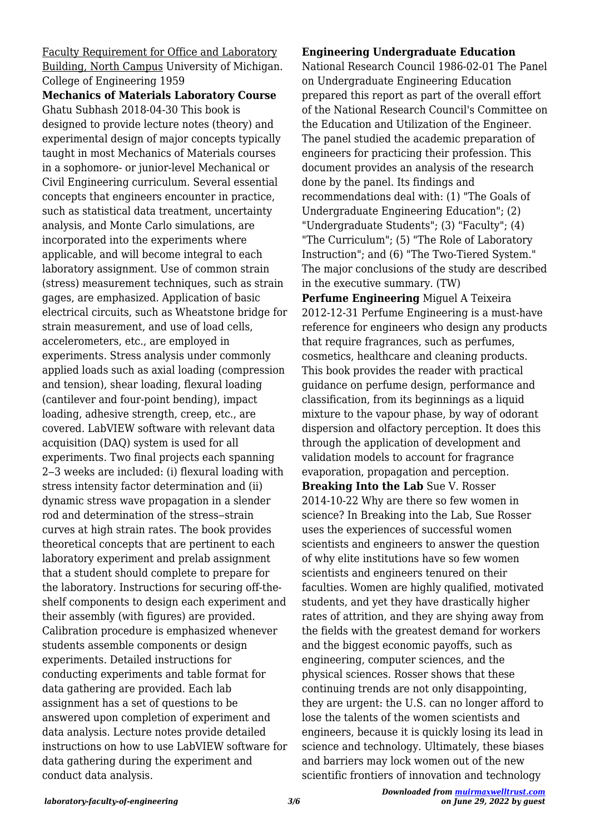Faculty Requirement for Office and Laboratory Building, North Campus University of Michigan. College of Engineering 1959

**Mechanics of Materials Laboratory Course** Ghatu Subhash 2018-04-30 This book is designed to provide lecture notes (theory) and experimental design of major concepts typically taught in most Mechanics of Materials courses in a sophomore- or junior-level Mechanical or Civil Engineering curriculum. Several essential concepts that engineers encounter in practice, such as statistical data treatment, uncertainty analysis, and Monte Carlo simulations, are incorporated into the experiments where applicable, and will become integral to each laboratory assignment. Use of common strain (stress) measurement techniques, such as strain gages, are emphasized. Application of basic electrical circuits, such as Wheatstone bridge for strain measurement, and use of load cells, accelerometers, etc., are employed in experiments. Stress analysis under commonly applied loads such as axial loading (compression and tension), shear loading, flexural loading (cantilever and four-point bending), impact loading, adhesive strength, creep, etc., are covered. LabVIEW software with relevant data acquisition (DAQ) system is used for all experiments. Two final projects each spanning 2‒3 weeks are included: (i) flexural loading with stress intensity factor determination and (ii) dynamic stress wave propagation in a slender rod and determination of the stress-strain curves at high strain rates. The book provides theoretical concepts that are pertinent to each laboratory experiment and prelab assignment that a student should complete to prepare for the laboratory. Instructions for securing off-theshelf components to design each experiment and their assembly (with figures) are provided. Calibration procedure is emphasized whenever students assemble components or design experiments. Detailed instructions for conducting experiments and table format for data gathering are provided. Each lab assignment has a set of questions to be answered upon completion of experiment and data analysis. Lecture notes provide detailed instructions on how to use LabVIEW software for data gathering during the experiment and conduct data analysis.

#### **Engineering Undergraduate Education**

National Research Council 1986-02-01 The Panel on Undergraduate Engineering Education prepared this report as part of the overall effort of the National Research Council's Committee on the Education and Utilization of the Engineer. The panel studied the academic preparation of engineers for practicing their profession. This document provides an analysis of the research done by the panel. Its findings and recommendations deal with: (1) "The Goals of Undergraduate Engineering Education"; (2) "Undergraduate Students"; (3) "Faculty"; (4) "The Curriculum"; (5) "The Role of Laboratory Instruction"; and (6) "The Two-Tiered System." The major conclusions of the study are described in the executive summary. (TW)

**Perfume Engineering** Miguel A Teixeira 2012-12-31 Perfume Engineering is a must-have reference for engineers who design any products that require fragrances, such as perfumes, cosmetics, healthcare and cleaning products. This book provides the reader with practical guidance on perfume design, performance and classification, from its beginnings as a liquid mixture to the vapour phase, by way of odorant dispersion and olfactory perception. It does this through the application of development and validation models to account for fragrance evaporation, propagation and perception. **Breaking Into the Lab** Sue V. Rosser 2014-10-22 Why are there so few women in science? In Breaking into the Lab, Sue Rosser uses the experiences of successful women scientists and engineers to answer the question of why elite institutions have so few women scientists and engineers tenured on their faculties. Women are highly qualified, motivated students, and yet they have drastically higher rates of attrition, and they are shying away from the fields with the greatest demand for workers and the biggest economic payoffs, such as engineering, computer sciences, and the physical sciences. Rosser shows that these continuing trends are not only disappointing, they are urgent: the U.S. can no longer afford to lose the talents of the women scientists and engineers, because it is quickly losing its lead in science and technology. Ultimately, these biases and barriers may lock women out of the new scientific frontiers of innovation and technology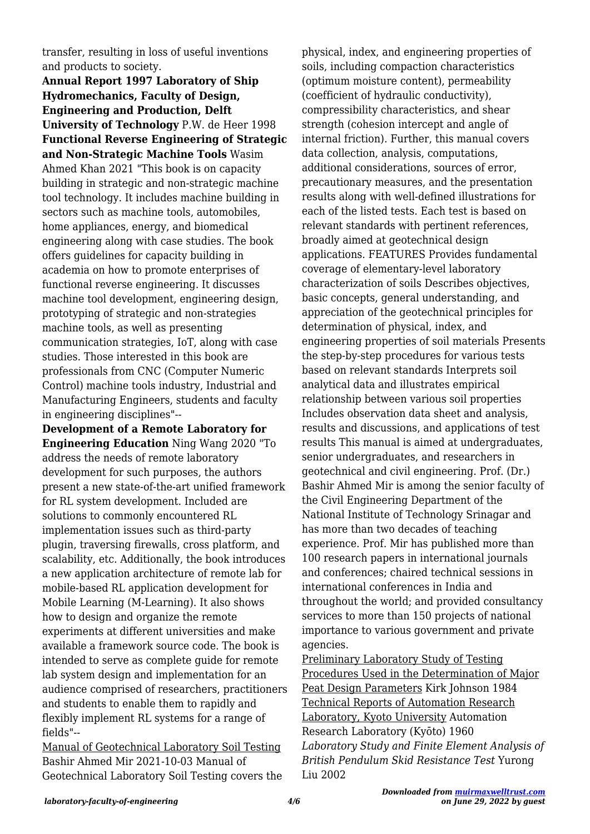transfer, resulting in loss of useful inventions and products to society.

**Annual Report 1997 Laboratory of Ship Hydromechanics, Faculty of Design, Engineering and Production, Delft University of Technology** P.W. de Heer 1998 **Functional Reverse Engineering of Strategic and Non-Strategic Machine Tools** Wasim Ahmed Khan 2021 "This book is on capacity building in strategic and non-strategic machine tool technology. It includes machine building in sectors such as machine tools, automobiles, home appliances, energy, and biomedical engineering along with case studies. The book offers guidelines for capacity building in academia on how to promote enterprises of functional reverse engineering. It discusses machine tool development, engineering design, prototyping of strategic and non-strategies machine tools, as well as presenting communication strategies, IoT, along with case studies. Those interested in this book are professionals from CNC (Computer Numeric Control) machine tools industry, Industrial and Manufacturing Engineers, students and faculty in engineering disciplines"--

**Development of a Remote Laboratory for Engineering Education** Ning Wang 2020 "To address the needs of remote laboratory development for such purposes, the authors present a new state-of-the-art unified framework for RL system development. Included are solutions to commonly encountered RL implementation issues such as third-party plugin, traversing firewalls, cross platform, and scalability, etc. Additionally, the book introduces a new application architecture of remote lab for mobile-based RL application development for Mobile Learning (M-Learning). It also shows how to design and organize the remote experiments at different universities and make available a framework source code. The book is intended to serve as complete guide for remote lab system design and implementation for an audience comprised of researchers, practitioners and students to enable them to rapidly and flexibly implement RL systems for a range of fields"--

Manual of Geotechnical Laboratory Soil Testing Bashir Ahmed Mir 2021-10-03 Manual of Geotechnical Laboratory Soil Testing covers the physical, index, and engineering properties of soils, including compaction characteristics (optimum moisture content), permeability (coefficient of hydraulic conductivity), compressibility characteristics, and shear strength (cohesion intercept and angle of internal friction). Further, this manual covers data collection, analysis, computations, additional considerations, sources of error, precautionary measures, and the presentation results along with well-defined illustrations for each of the listed tests. Each test is based on relevant standards with pertinent references, broadly aimed at geotechnical design applications. FEATURES Provides fundamental coverage of elementary-level laboratory characterization of soils Describes objectives, basic concepts, general understanding, and appreciation of the geotechnical principles for determination of physical, index, and engineering properties of soil materials Presents the step-by-step procedures for various tests based on relevant standards Interprets soil analytical data and illustrates empirical relationship between various soil properties Includes observation data sheet and analysis, results and discussions, and applications of test results This manual is aimed at undergraduates, senior undergraduates, and researchers in geotechnical and civil engineering. Prof. (Dr.) Bashir Ahmed Mir is among the senior faculty of the Civil Engineering Department of the National Institute of Technology Srinagar and has more than two decades of teaching experience. Prof. Mir has published more than 100 research papers in international journals and conferences; chaired technical sessions in international conferences in India and throughout the world; and provided consultancy services to more than 150 projects of national importance to various government and private agencies.

Preliminary Laboratory Study of Testing Procedures Used in the Determination of Major Peat Design Parameters Kirk Johnson 1984 Technical Reports of Automation Research Laboratory, Kyoto University Automation Research Laboratory (Kyōto) 1960 *Laboratory Study and Finite Element Analysis of British Pendulum Skid Resistance Test* Yurong Liu 2002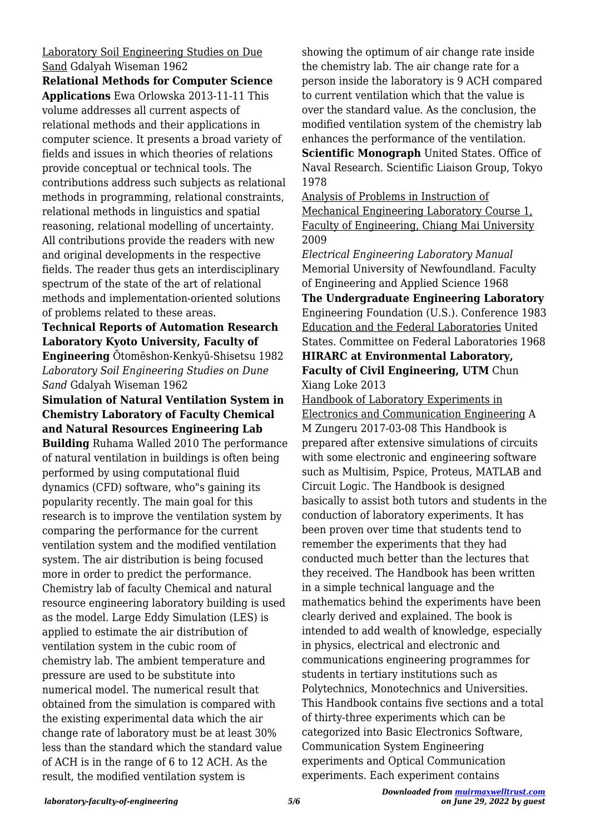## Laboratory Soil Engineering Studies on Due Sand Gdalyah Wiseman 1962

**Relational Methods for Computer Science Applications** Ewa Orlowska 2013-11-11 This volume addresses all current aspects of relational methods and their applications in computer science. It presents a broad variety of fields and issues in which theories of relations provide conceptual or technical tools. The contributions address such subjects as relational methods in programming, relational constraints, relational methods in linguistics and spatial reasoning, relational modelling of uncertainty. All contributions provide the readers with new and original developments in the respective fields. The reader thus gets an interdisciplinary spectrum of the state of the art of relational methods and implementation-oriented solutions of problems related to these areas.

## **Technical Reports of Automation Research Laboratory Kyoto University, Faculty of Engineering** Ōtomēshon-Kenkyū-Shisetsu 1982 *Laboratory Soil Engineering Studies on Dune Sand* Gdalyah Wiseman 1962

**Simulation of Natural Ventilation System in Chemistry Laboratory of Faculty Chemical and Natural Resources Engineering Lab Building** Ruhama Walled 2010 The performance of natural ventilation in buildings is often being performed by using computational fluid dynamics (CFD) software, who"s gaining its popularity recently. The main goal for this research is to improve the ventilation system by comparing the performance for the current ventilation system and the modified ventilation system. The air distribution is being focused more in order to predict the performance. Chemistry lab of faculty Chemical and natural resource engineering laboratory building is used as the model. Large Eddy Simulation (LES) is applied to estimate the air distribution of ventilation system in the cubic room of chemistry lab. The ambient temperature and pressure are used to be substitute into numerical model. The numerical result that obtained from the simulation is compared with the existing experimental data which the air change rate of laboratory must be at least 30% less than the standard which the standard value of ACH is in the range of 6 to 12 ACH. As the result, the modified ventilation system is

showing the optimum of air change rate inside the chemistry lab. The air change rate for a person inside the laboratory is 9 ACH compared to current ventilation which that the value is over the standard value. As the conclusion, the modified ventilation system of the chemistry lab enhances the performance of the ventilation.

**Scientific Monograph** United States. Office of Naval Research. Scientific Liaison Group, Tokyo 1978

Analysis of Problems in Instruction of Mechanical Engineering Laboratory Course 1, Faculty of Engineering, Chiang Mai University 2009

*Electrical Engineering Laboratory Manual* Memorial University of Newfoundland. Faculty of Engineering and Applied Science 1968 **The Undergraduate Engineering Laboratory** Engineering Foundation (U.S.). Conference 1983 Education and the Federal Laboratories United States. Committee on Federal Laboratories 1968

**HIRARC at Environmental Laboratory, Faculty of Civil Engineering, UTM** Chun Xiang Loke 2013

Handbook of Laboratory Experiments in Electronics and Communication Engineering A M Zungeru 2017-03-08 This Handbook is prepared after extensive simulations of circuits with some electronic and engineering software such as Multisim, Pspice, Proteus, MATLAB and Circuit Logic. The Handbook is designed basically to assist both tutors and students in the conduction of laboratory experiments. It has been proven over time that students tend to remember the experiments that they had conducted much better than the lectures that they received. The Handbook has been written in a simple technical language and the mathematics behind the experiments have been clearly derived and explained. The book is intended to add wealth of knowledge, especially in physics, electrical and electronic and communications engineering programmes for students in tertiary institutions such as Polytechnics, Monotechnics and Universities. This Handbook contains five sections and a total of thirty-three experiments which can be categorized into Basic Electronics Software, Communication System Engineering experiments and Optical Communication experiments. Each experiment contains